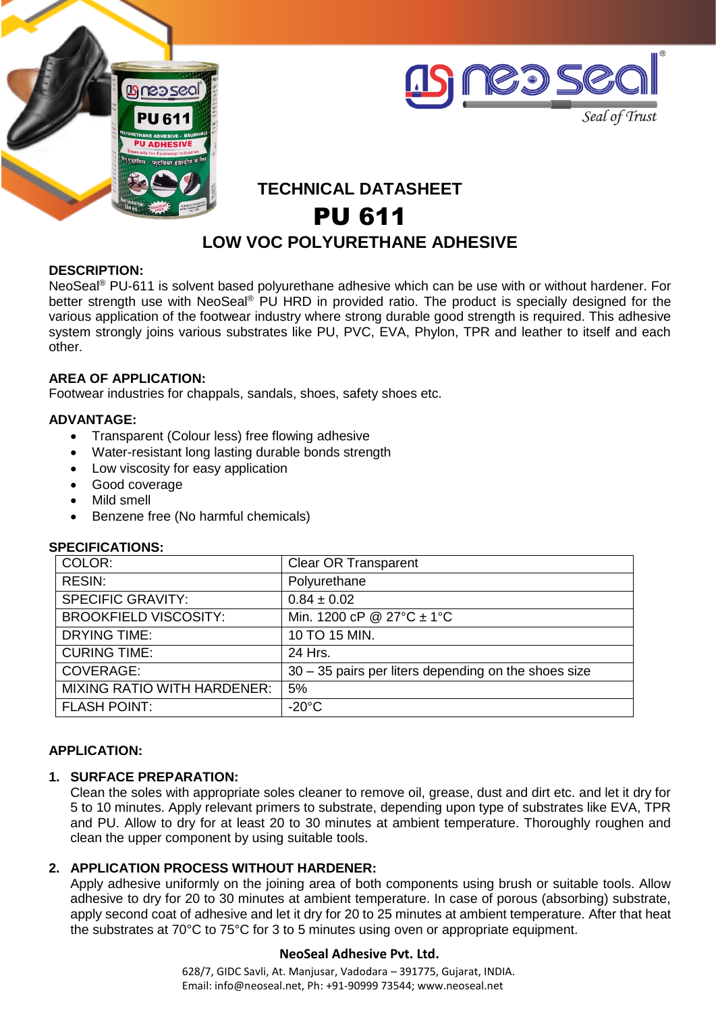



# **TECHNICAL DATASHEET** PU 611 **LOW VOC POLYURETHANE ADHESIVE**

#### **DESCRIPTION:**

NeoSeal® PU-611 is solvent based polyurethane adhesive which can be use with or without hardener. For better strength use with NeoSeal® PU HRD in provided ratio. The product is specially designed for the various application of the footwear industry where strong durable good strength is required. This adhesive system strongly joins various substrates like PU, PVC, EVA, Phylon, TPR and leather to itself and each other.

# **AREA OF APPLICATION:**

Footwear industries for chappals, sandals, shoes, safety shoes etc.

#### **ADVANTAGE:**

- Transparent (Colour less) free flowing adhesive<br>• Water-resistant long lasting durable bonds stren
- Water-resistant long lasting durable bonds strength
- Low viscosity for easy application
- Good coverage
- Mild smell
- Benzene free (No harmful chemicals)

| 91 LUII IUA I IUI 10.              |                                                      |
|------------------------------------|------------------------------------------------------|
| COLOR:                             | <b>Clear OR Transparent</b>                          |
| RESIN:                             | Polyurethane                                         |
| <b>SPECIFIC GRAVITY:</b>           | $0.84 \pm 0.02$                                      |
| <b>BROOKFIELD VISCOSITY:</b>       | Min. 1200 cP @ 27 $^{\circ}$ C ± 1 $^{\circ}$ C      |
| <b>DRYING TIME:</b>                | 10 TO 15 MIN.                                        |
| <b>CURING TIME:</b>                | 24 Hrs.                                              |
| COVERAGE:                          | 30 – 35 pairs per liters depending on the shoes size |
| <b>MIXING RATIO WITH HARDENER:</b> | 5%                                                   |
| <b>FLASH POINT:</b>                | $-20^{\circ}$ C                                      |
|                                    |                                                      |

# **SPECIFICATIONS:**

#### **APPLICATION:**

# **1. SURFACE PREPARATION:**

Clean the soles with appropriate soles cleaner to remove oil, grease, dust and dirt etc. and let it dry for 5 to 10 minutes. Apply relevant primers to substrate, depending upon type of substrates like EVA, TPR and PU. Allow to dry for at least 20 to 30 minutes at ambient temperature. Thoroughly roughen and clean the upper component by using suitable tools.

# **2. APPLICATION PROCESS WITHOUT HARDENER:**

Apply adhesive uniformly on the joining area of both components using brush or suitable tools. Allow adhesive to dry for 20 to 30 minutes at ambient temperature. In case of porous (absorbing) substrate, apply second coat of adhesive and let it dry for 20 to 25 minutes at ambient temperature. After that heat the substrates at 70°C to 75°C for 3 to 5 minutes using oven or appropriate equipment.

# **NeoSeal Adhesive Pvt. Ltd.**

628/7, GIDC Savli, At. Manjusar, Vadodara – 391775, Gujarat, INDIA. Email: info@neoseal.net, Ph: +91-90999 73544; www.neoseal.net